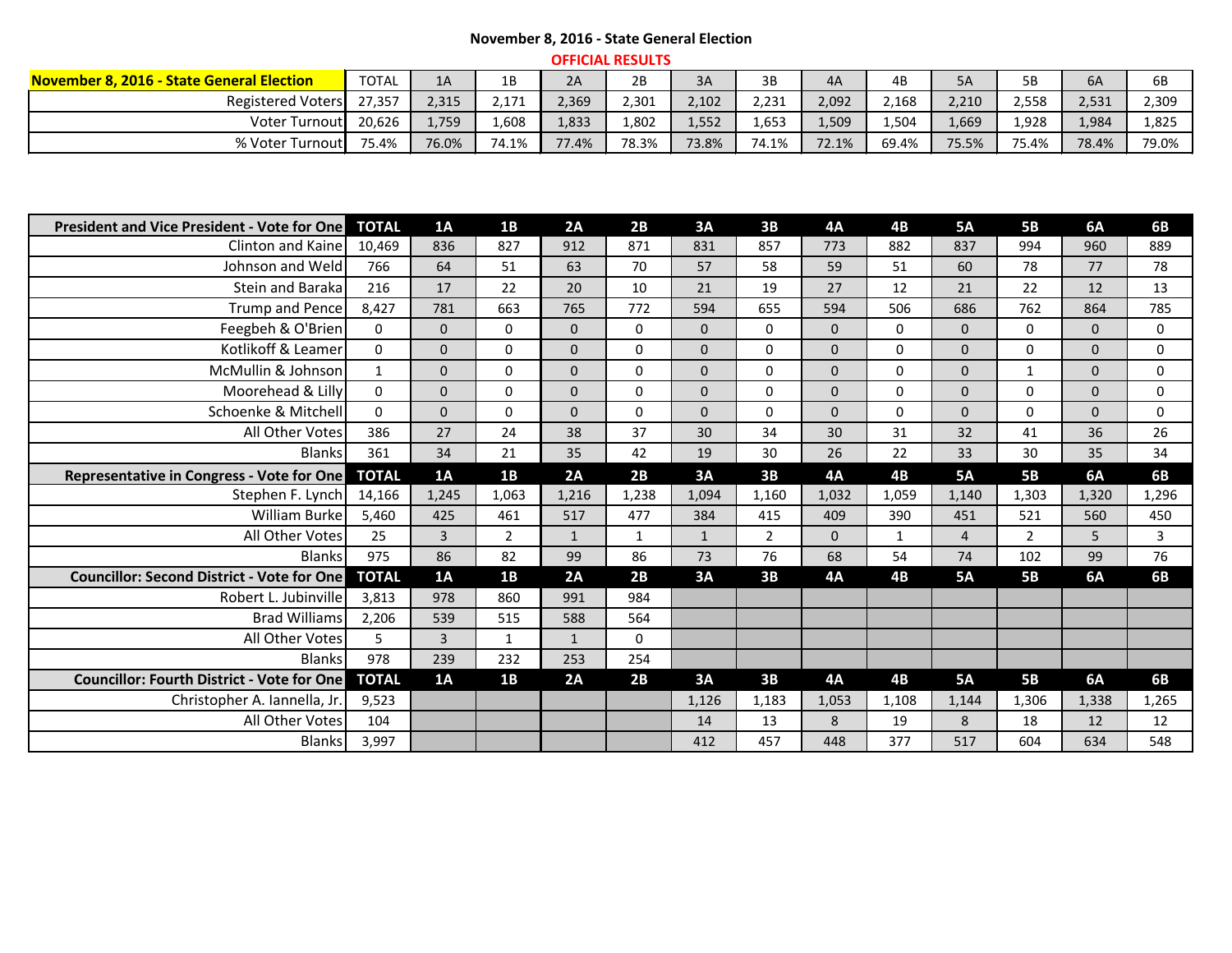## **November 8, 2016 - State General Election**

| <b>OFFICIAL RESULTS</b>                          |              |       |       |       |       |       |       |       |       |       |       |       |       |
|--------------------------------------------------|--------------|-------|-------|-------|-------|-------|-------|-------|-------|-------|-------|-------|-------|
| <b>November 8, 2016 - State General Election</b> | <b>TOTAL</b> | 1A    | 1Β    | 2A    | 2B    | 3A    | 3B    | 4A    | 4B    | 5A    | 5B    | 6A    |       |
| <b>Registered Voters</b>                         | 27,357       | 2,315 | 2,171 | 2,369 | 2,301 | 2,102 | 2,231 | 2,092 | 2,168 | 2,210 | 2,558 | 2,531 | 2,309 |
| Voter Turnout                                    | 20,626       | 1,759 | .608  | L,833 | ,802  | 1,552 | 1,653 | 1,509 | 4,504 | 1,669 | 1,928 | 1,984 | 1,825 |
| % Voter Turnout                                  | 75.4%        | 76.0% | 74.1% | 77.4% | 78.3% | 73.8% | 74.1% | 72.1% | 69.4% | 75.5% | 75.4% | 78.4% | 79.0% |

| <b>President and Vice President - Vote for One</b> | <b>TOTAL</b> | 1A             | 1B           | 2A             | 2B           | 3A             | 3B             | <b>4A</b>      | 4B           | <b>5A</b>      | <b>5B</b>    | 6A           | 6B           |
|----------------------------------------------------|--------------|----------------|--------------|----------------|--------------|----------------|----------------|----------------|--------------|----------------|--------------|--------------|--------------|
| Clinton and Kaine                                  | 10,469       | 836            | 827          | 912            | 871          | 831            | 857            | 773            | 882          | 837            | 994          | 960          | 889          |
| Johnson and Weld                                   | 766          | 64             | 51           | 63             | 70           | 57             | 58             | 59             | 51           | 60             | 78           | 77           | 78           |
| Stein and Baraka                                   | 216          | 17             | 22           | 20             | 10           | 21             | 19             | 27             | 12           | 21             | 22           | 12           | 13           |
| Trump and Pence                                    | 8,427        | 781            | 663          | 765            | 772          | 594            | 655            | 594            | 506          | 686            | 762          | 864          | 785          |
| Feegbeh & O'Brien                                  | $\mathbf 0$  | $\mathbf{0}$   | $\mathbf 0$  | $\overline{0}$ | $\mathbf 0$  | $\overline{0}$ | $\mathbf 0$    | $\mathbf{0}$   | $\mathbf 0$  | $\mathbf{0}$   | $\pmb{0}$    | $\mathbf{0}$ | $\mathbf 0$  |
| Kotlikoff & Leamer                                 | $\mathbf 0$  | $\mathbf{0}$   | $\mathbf{0}$ | $\overline{0}$ | $\mathbf 0$  | $\overline{0}$ | $\mathbf 0$    | $\mathbf 0$    | $\mathbf 0$  | $\mathbf{0}$   | $\mathbf 0$  | $\mathbf 0$  | $\mathbf 0$  |
| McMullin & Johnson                                 | $\mathbf{1}$ | $\mathbf 0$    | $\mathbf 0$  | $\overline{0}$ | $\mathbf 0$  | $\overline{0}$ | $\mathbf 0$    | $\mathbf{0}$   | $\mathbf 0$  | $\mathbf 0$    | $\mathbf{1}$ | $\mathbf 0$  | $\mathbf 0$  |
| Moorehead & Lilly                                  | $\mathbf 0$  | $\mathbf{0}$   | $\mathbf{0}$ | $\overline{0}$ | $\mathbf{0}$ | $\overline{0}$ | $\mathbf 0$    | $\overline{0}$ | $\mathbf{0}$ | $\mathbf{0}$   | $\mathbf 0$  | $\mathbf{0}$ | $\mathbf 0$  |
| Schoenke & Mitchell                                | $\mathbf{0}$ | $\overline{0}$ | $\mathbf{0}$ | $\Omega$       | $\mathbf{0}$ | $\overline{0}$ | $\mathbf 0$    | $\overline{0}$ | $\mathbf 0$  | $\mathbf{0}$   | $\mathbf 0$  | $\mathbf 0$  | $\mathbf 0$  |
| All Other Votes                                    | 386          | 27             | 24           | 38             | 37           | 30             | 34             | 30             | 31           | 32             | 41           | 36           | 26           |
| <b>Blanks</b>                                      | 361          | 34             | 21           | 35             | 42           | 19             | 30             | 26             | 22           | 33             | 30           | 35           | 34           |
| Representative in Congress - Vote for One          | <b>TOTAL</b> | 1A             | 1B           | 2A             | 2B           | 3A             | 3B             | <b>4A</b>      | 4B           | <b>5A</b>      | <b>5B</b>    | 6A           | <b>6B</b>    |
| Stephen F. Lynch                                   | 14,166       | 1,245          | 1,063        | 1,216          | 1,238        | 1,094          | 1,160          | 1,032          | 1,059        | 1,140          | 1,303        | 1,320        | 1,296        |
| William Burke                                      | 5,460        | 425            | 461          | 517            | 477          | 384            | 415            | 409            | 390          | 451            | 521          | 560          | 450          |
| All Other Votes                                    | 25           | $\overline{3}$ | $2^{\circ}$  | $\mathbf{1}$   | $\mathbf{1}$ | $\mathbf{1}$   | $\overline{2}$ | $\overline{0}$ | $\mathbf{1}$ | $\overline{4}$ | $2^{\circ}$  | 5            | $\mathbf{3}$ |
| <b>Blanks</b>                                      | 975          | 86             | 82           | 99             | 86           | 73             | 76             | 68             | 54           | 74             | 102          | 99           | 76           |
| <b>Councillor: Second District - Vote for One</b>  | <b>TOTAL</b> | 1A             | 1B           | 2A             | 2B           | 3A             | 3B             | <b>4A</b>      | 4B           | <b>5A</b>      | <b>5B</b>    | 6A           | <b>6B</b>    |
| Robert L. Jubinville                               | 3,813        | 978            | 860          | 991            | 984          |                |                |                |              |                |              |              |              |
| <b>Brad Williams</b>                               | 2,206        | 539            | 515          | 588            | 564          |                |                |                |              |                |              |              |              |
| All Other Votes                                    | 5            | $\overline{3}$ | $\mathbf{1}$ | $\mathbf{1}$   | $\mathbf 0$  |                |                |                |              |                |              |              |              |
| <b>Blanks</b>                                      | 978          | 239            | 232          | 253            | 254          |                |                |                |              |                |              |              |              |
| Councillor: Fourth District - Vote for One         | <b>TOTAL</b> | 1A             | 1B           | 2A             | 2B           | 3A             | 3B             | <b>4A</b>      | 4B           | <b>5A</b>      | <b>5B</b>    | 6A           | 6B           |
| Christopher A. Iannella, Jr.                       | 9,523        |                |              |                |              | 1,126          | 1,183          | 1,053          | 1,108        | 1,144          | 1,306        | 1,338        | 1,265        |
| All Other Votes                                    | 104          |                |              |                |              | 14             | 13             | 8              | 19           | 8              | 18           | 12           | 12           |
| <b>Blanks</b>                                      | 3,997        |                |              |                |              | 412            | 457            | 448            | 377          | 517            | 604          | 634          | 548          |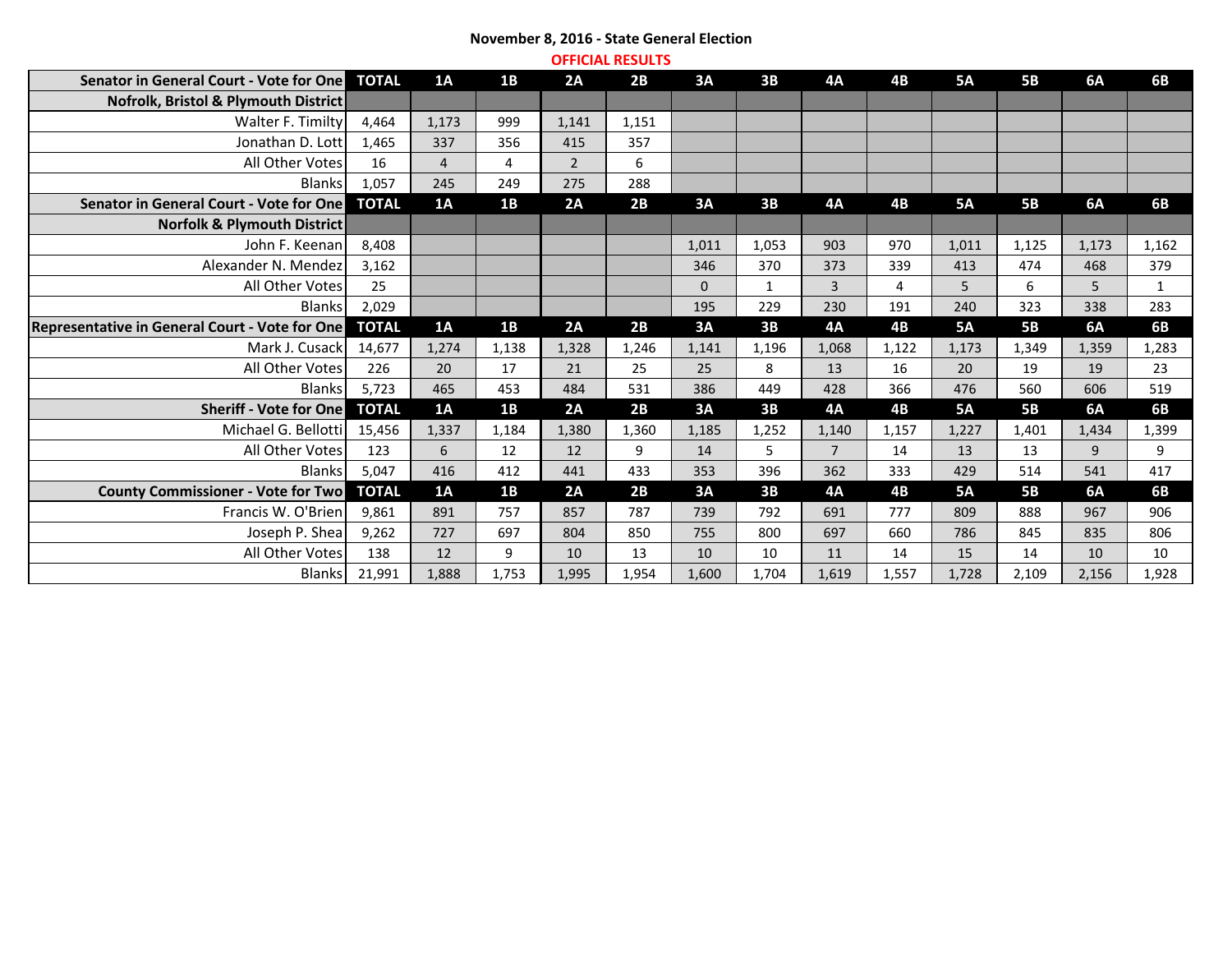## **November 8, 2016 - State General Election OFFICIAL RESULTS**

| <b>ULLIUMLINEJULIJ</b>                         |              |                |       |                |       |              |              |                |           |           |           |           |            |
|------------------------------------------------|--------------|----------------|-------|----------------|-------|--------------|--------------|----------------|-----------|-----------|-----------|-----------|------------|
| Senator in General Court - Vote for One        | <b>TOTAL</b> | 1A             | 1B    | 2A             | 2B    | 3A           | 3B           | <b>4A</b>      | 4B        | <b>5A</b> | <b>5B</b> | <b>6A</b> | <b>6B</b>  |
| Nofrolk, Bristol & Plymouth District           |              |                |       |                |       |              |              |                |           |           |           |           |            |
| Walter F. Timilty                              | 4,464        | 1,173          | 999   | 1,141          | 1,151 |              |              |                |           |           |           |           |            |
| Jonathan D. Lott                               | 1,465        | 337            | 356   | 415            | 357   |              |              |                |           |           |           |           |            |
| All Other Votes                                | 16           | $\overline{4}$ | 4     | 2 <sup>1</sup> | 6     |              |              |                |           |           |           |           |            |
| <b>Blanks</b>                                  | 1,057        | 245            | 249   | 275            | 288   |              |              |                |           |           |           |           |            |
| Senator in General Court - Vote for One        | <b>TOTAL</b> | 1A             | 1B    | 2A             | 2B    | 3A           | 3B           | <b>4A</b>      | <b>4B</b> | <b>5A</b> | <b>5B</b> | <b>6A</b> | <b>6B</b>  |
| Norfolk & Plymouth District                    |              |                |       |                |       |              |              |                |           |           |           |           |            |
| John F. Keenan                                 | 8,408        |                |       |                |       | 1,011        | 1,053        | 903            | 970       | 1,011     | 1,125     | 1,173     | 1,162      |
| Alexander N. Mendez                            | 3,162        |                |       |                |       | 346          | 370          | 373            | 339       | 413       | 474       | 468       | 379        |
| All Other Votes                                | 25           |                |       |                |       | $\mathbf{0}$ | $\mathbf{1}$ | 3              | 4         | 5         | 6         | 5         | 1          |
| <b>Blanks</b>                                  | 2,029        |                |       |                |       | 195          | 229          | 230            | 191       | 240       | 323       | 338       | 283        |
| Representative in General Court - Vote for One | <b>TOTAL</b> | 1A             | 1B    | 2A             | 2B    | 3A           | 3B           | <b>4A</b>      | 4B        | <b>5A</b> | <b>5B</b> | <b>6A</b> | 6B         |
| Mark J. Cusack                                 | 14,677       | 1,274          | 1,138 | 1,328          | 1,246 | 1,141        | 1,196        | 1,068          | 1,122     | 1,173     | 1,349     | 1,359     | 1,283      |
| All Other Votes                                | 226          | 20             | 17    | 21             | 25    | 25           | 8            | 13             | 16        | 20        | 19        | 19        | 23         |
| <b>Blanks</b>                                  | 5,723        | 465            | 453   | 484            | 531   | 386          | 449          | 428            | 366       | 476       | 560       | 606       | 519        |
| <b>Sheriff - Vote for One</b>                  | <b>TOTAL</b> | 1A             | 1B    | 2A             | 2B    | 3A           | 3B           | <b>4A</b>      | 4B        | <b>5A</b> | <b>5B</b> | <b>6A</b> | 6 <b>B</b> |
| Michael G. Bellotti                            | 15,456       | 1,337          | 1,184 | 1,380          | 1,360 | 1,185        | 1,252        | 1,140          | 1,157     | 1,227     | 1,401     | 1,434     | 1,399      |
| All Other Votes                                | 123          | 6              | 12    | 12             | 9     | 14           | 5            | $\overline{7}$ | 14        | 13        | 13        | 9         | 9          |
| <b>Blanks</b>                                  | 5,047        | 416            | 412   | 441            | 433   | 353          | 396          | 362            | 333       | 429       | 514       | 541       | 417        |
| <b>County Commissioner - Vote for Two</b>      | <b>TOTAL</b> | 1A             | 1B    | 2A             | 2B    | 3A           | 3B           | <b>4A</b>      | 4B        | <b>5A</b> | <b>5B</b> | <b>6A</b> | 6B         |
| Francis W. O'Brien                             | 9,861        | 891            | 757   | 857            | 787   | 739          | 792          | 691            | 777       | 809       | 888       | 967       | 906        |
| Joseph P. Shea                                 | 9,262        | 727            | 697   | 804            | 850   | 755          | 800          | 697            | 660       | 786       | 845       | 835       | 806        |
| All Other Votes                                | 138          | 12             | 9     | 10             | 13    | 10           | 10           | 11             | 14        | 15        | 14        | 10        | 10         |
| <b>Blanks</b>                                  | 21,991       | 1,888          | 1,753 | 1,995          | 1,954 | 1,600        | 1,704        | 1,619          | 1,557     | 1,728     | 2,109     | 2,156     | 1,928      |